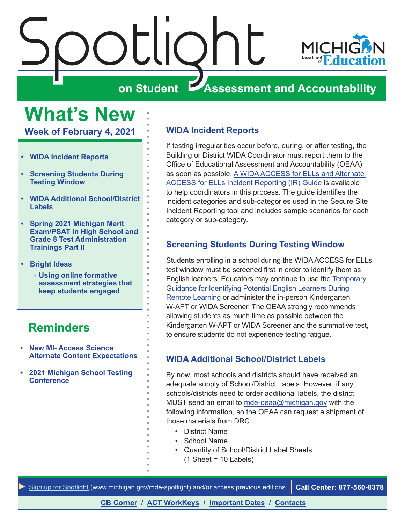<span id="page-0-0"></span>

# **What's New**

**Week of February 4, 2021**

- **• WIDA Incident Reports**
- **• Screening Students During Testing Window**
- **• WIDA Additional School/District Labels**
- **• [Spring 2021 Michigan Merit](#page-1-0)  [Exam/PSAT in High School and](#page-1-0)  [Grade 8 Test Administration](#page-1-0)  [Trainings Part II](#page-1-0)**
- **• [Bright Ideas](#page-3-0)**
	- » **[Using online formative](#page-3-0)  [assessment strategies that](#page-3-0)  [keep students engaged](#page-3-0)**

# **[Reminders](#page-2-0)**

- **• [New MI- Access Science](#page-2-0)  [Alternate Content Expectations](#page-2-0)**
- **• [2021 Michigan School Testing](#page-2-0)  [Conference](#page-2-0)**

# **WIDA Incident Reports**

If testing irregularities occur before, during, or after testing, the Building or District WIDA Coordinator must report them to the Office of Educational Assessment and Accountability (OEAA) as soon as possible. [A WIDA ACCESS for ELLs and Alternate](https://www.michigan.gov/documents/mde/WIDA_Incident_Report_Table-jl_550383_7.pdf)  [ACCESS for ELLs Incident Reporting \(IR\) Guide](https://www.michigan.gov/documents/mde/WIDA_Incident_Report_Table-jl_550383_7.pdf) is available to help coordinators in this process. The guide identifies the incident categories and sub-categories used in the Secure Site Incident Reporting tool and includes sample scenarios for each category or sub-category.

# **Screening Students During Testing Window**

Students enrolling in a school during the WIDA ACCESS for ELLs test window must be screened first in order to identify them as English learners. Educators may continue to use the [Temporary](http://www.michigan.gov/documents/mde/Identifying_ELL_699655_7.docx)  [Guidance for Identifying Potential English Learners During](http://www.michigan.gov/documents/mde/Identifying_ELL_699655_7.docx)  [Remote Learning](http://www.michigan.gov/documents/mde/Identifying_ELL_699655_7.docx) or administer the in-person Kindergarten W-APT or WIDA Screener. The OEAA strongly recommends allowing students as much time as possible between the Kindergarten W-APT or WIDA Screener and the summative test, to ensure students do not experience testing fatigue.

# **WIDA Additional School/District Labels**

By now, most schools and districts should have received an adequate supply of School/District Labels. However, if any schools/districts need to order additional labels, the district MUST send an email to [mde-oeaa@michigan.gov](mailto:mde-oeaa%40michigan.gov?subject=) with the following information, so the OEAA can request a shipment of those materials from DRC:

- District Name
- School Name
- Quantity of School/District Label Sheets  $(1 \text{ Sheet} = 10 \text{ Labels})$



**[CB Corner](#page-5-0) / [ACT WorkKeys](#page-6-0) / [Important Dates](#page-8-0) / [Contacts](#page-9-0)**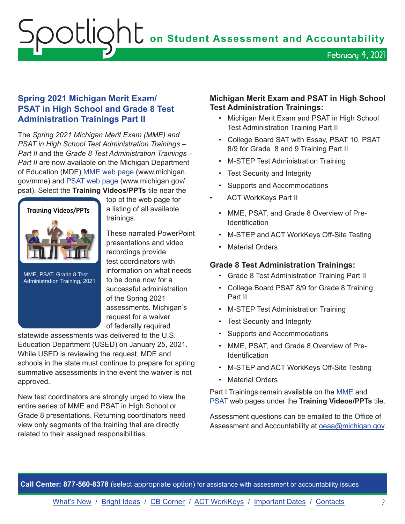<span id="page-1-0"></span>**Soutlight** on Student Assessment and Accountability February 4, 2021

# **Spring 2021 Michigan Merit Exam/ PSAT in High School and Grade 8 Test Administration Trainings Part II**

The *Spring 2021 Michigan Merit Exam (MME) and PSAT in High School Test Administration Trainings – Part II* and the *Grade 8 Test Administration Trainings – Part II* are now available on the Michigan Department of Education (MDE) [MME web page](www.michigan.gov/mme) (www.michigan. gov/mme) and [PSAT web page](http://www.michigan.gov/psat) (www.michigan.gov/ psat). Select the **Training Videos/PPTs** tile near the



MME, PSAT, Grade 8 Test Administration Training, 2021 top of the web page for a listing of all available trainings.

These narrated PowerPoint presentations and video recordings provide test coordinators with information on what needs to be done now for a successful administration of the Spring 2021 assessments. Michigan's request for a waiver of federally required

statewide assessments was delivered to the U.S. Education Department (USED) on January 25, 2021. While USED is reviewing the request, MDE and schools in the state must continue to prepare for spring summative assessments in the event the waiver is not approved.

New test coordinators are strongly urged to view the entire series of MME and PSAT in High School or Grade 8 presentations. Returning coordinators need view only segments of the training that are directly related to their assigned responsibilities.

# **Michigan Merit Exam and PSAT in High School Test Administration Trainings:**

- Michigan Merit Exam and PSAT in High School Test Administration Training Part II
- College Board SAT with Essay, PSAT 10, PSAT 8/9 for Grade 8 and 9 Training Part II
- M-STEP Test Administration Training
- Test Security and Integrity
- Supports and Accommodations
- **ACT WorkKeys Part II**
- MME, PSAT, and Grade 8 Overview of Pre-Identification
- M-STEP and ACT WorkKeys Off-Site Testing
- Material Orders

# **Grade 8 Test Administration Trainings:**

- Grade 8 Test Administration Training Part II
- College Board PSAT 8/9 for Grade 8 Training Part II
- M-STEP Test Administration Training
- Test Security and Integrity
- Supports and Accommodations
- MME, PSAT, and Grade 8 Overview of Pre-**Identification**
- M-STEP and ACT WorkKeys Off-Site Testing
- **Material Orders**

Part I Trainings remain available on the [MME](www.michigan.gov/mme) and [PSAT](http://www.michigan.gov/psat) web pages under the **Training Videos/PPTs** tile.

Assessment questions can be emailed to the Office of Assessment and Accountability at [oeaa@michigan.gov](mailto:oeaa%40michigan.gov?subject=).

**Call Center: 877-560-8378** (select appropriate option) for assistance with assessment or accountability issues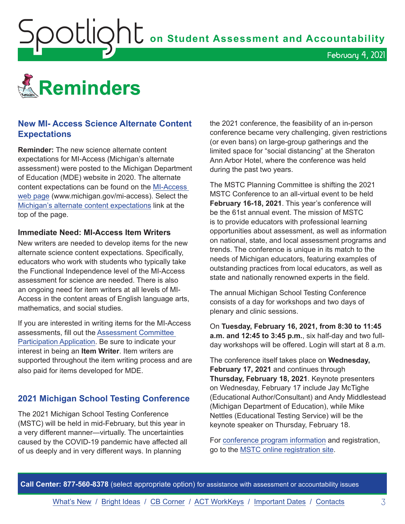<span id="page-2-0"></span>**ODELIONE** on Student Assessment and Accountability



# **New MI- Access Science Alternate Content Expectations**

**Reminder:** The new science alternate content expectations for MI-Access (Michigan's alternate assessment) were posted to the Michigan Department of Education (MDE) website in 2020. The alternate content expectations can be found on the [MI-Access](http://www.michigan.gov/mi-access)  [web page](http://www.michigan.gov/mi-access) (www.michigan.gov/mi-access). Select the [Michigan's alternate content expectations](https://www.michigan.gov/mde/0,4615,7-140-22709_28463-410070--,00.html) link at the top of the page.

#### **Immediate Need: MI-Access Item Writers**

New writers are needed to develop items for the new alternate science content expectations. Specifically, educators who work with students who typically take the Functional Independence level of the MI-Access assessment for science are needed. There is also an ongoing need for item writers at all levels of MI-Access in the content areas of English language arts, mathematics, and social studies.

If you are interested in writing items for the MI-Access assessments, fill out the [Assessment Committee](https://www.cvent.com/surveys/Welcome.aspx?s=cca0a288-2989-49f7-ba37-9c0596722ca0)  [Participation Application.](https://www.cvent.com/surveys/Welcome.aspx?s=cca0a288-2989-49f7-ba37-9c0596722ca0) Be sure to indicate your interest in being an **Item Writer**. Item writers are supported throughout the item writing process and are also paid for items developed for MDE.

# **2021 Michigan School Testing Conference**

The 2021 Michigan School Testing Conference (MSTC) will be held in mid-February, but this year in a very different manner—virtually. The uncertainties caused by the COVID-19 pandemic have affected all of us deeply and in very different ways. In planning

the 2021 conference, the feasibility of an in-person conference became very challenging, given restrictions (or even bans) on large-group gatherings and the limited space for "social distancing" at the Sheraton Ann Arbor Hotel, where the conference was held during the past two years.

February 4, 2021

The MSTC Planning Committee is shifting the 2021 MSTC Conference to an all-virtual event to be held **February 16-18, 2021**. This year's conference will be the 61st annual event. The mission of MSTC is to provide educators with professional learning opportunities about assessment, as well as information on national, state, and local assessment programs and trends. The conference is unique in its match to the needs of Michigan educators, featuring examples of outstanding practices from local educators, as well as state and nationally renowned experts in the field.

The annual Michigan School Testing Conference consists of a day for workshops and two days of plenary and clinic sessions.

On **Tuesday, February 16, 2021, from 8:30 to 11:45 a.m. and 12:45 to 3:45 p.m.**, six half-day and two fullday workshops will be offered. Login will start at 8 a.m.

The conference itself takes place on **Wednesday, February 17, 2021** and continues through **Thursday, February 18, 2021**. Keynote presenters on Wednesday, February 17 include Jay McTighe (Educational Author/Consultant) and Andy Middlestead (Michigan Department of Education), while Mike Nettles (Educational Testing Service) will be the keynote speaker on Thursday, February 18.

For [conference program information](http://gomasa.org/wp-content/uploads/mstcPromo2021.pdf) and registration, go to the [MSTC online registration site](http://gomasa.org/mstc2021).

**Call Center: 877-560-8378** (select appropriate option) for assistance with assessment or accountability issues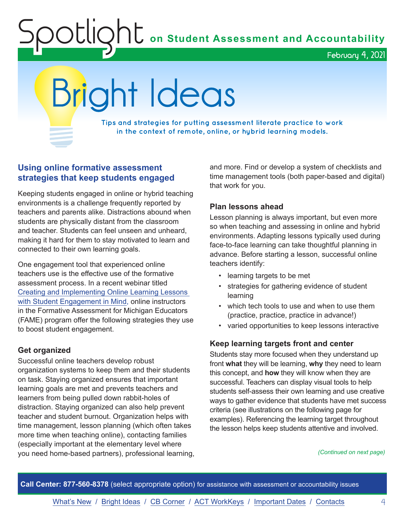<span id="page-3-0"></span>OUIQhU on Student Assessment and Accountability

February 4, 2021

# Bright Ideas

**Tips and strategies for putting assessment literate practice to work in the context of remote, online, or hybrid learning models.**

# **Using online formative assessment strategies that keep students engaged**

Keeping students engaged in online or hybrid teaching environments is a challenge frequently reported by teachers and parents alike. Distractions abound when students are physically distant from the classroom and teacher. Students can feel unseen and unheard, making it hard for them to stay motivated to learn and connected to their own learning goals.

One engagement tool that experienced online teachers use is the effective use of the formative assessment process. In a recent webinar titled [Creating and Implementing Online Learning Lessons](https://www.michiganassessmentconsortium.org/event/creating-and-implementing-online-learning-lessons-with-student-engagement-in-mind/)  [with Student Engagement in Mind](https://www.michiganassessmentconsortium.org/event/creating-and-implementing-online-learning-lessons-with-student-engagement-in-mind/), online instructors in the Formative Assessment for Michigan Educators (FAME) program offer the following strategies they use to boost student engagement.

# **Get organized**

Successful online teachers develop robust organization systems to keep them and their students on task. Staying organized ensures that important learning goals are met and prevents teachers and learners from being pulled down rabbit-holes of distraction. Staying organized can also help prevent teacher and student burnout. Organization helps with time management, lesson planning (which often takes more time when teaching online), contacting families (especially important at the elementary level where you need home-based partners), professional learning, and more. Find or develop a system of checklists and time management tools (both paper-based and digital) that work for you.

# **Plan lessons ahead**

Lesson planning is always important, but even more so when teaching and assessing in online and hybrid environments. Adapting lessons typically used during face-to-face learning can take thoughtful planning in advance. Before starting a lesson, successful online teachers identify:

- learning targets to be met
- strategies for gathering evidence of student learning
- which tech tools to use and when to use them (practice, practice, practice in advance!)
- varied opportunities to keep lessons interactive

# **Keep learning targets front and center**

Students stay more focused when they understand up front **what** they will be learning, **why** they need to learn this concept, and **how** they will know when they are successful. Teachers can display visual tools to help students self-assess their own learning and use creative ways to gather evidence that students have met success criteria (see illustrations on the following page for examples). Referencing the learning target throughout the lesson helps keep students attentive and involved.

*(Continued on next page)*

**Call Center: 877-560-8378** (select appropriate option) for assistance with assessment or accountability issues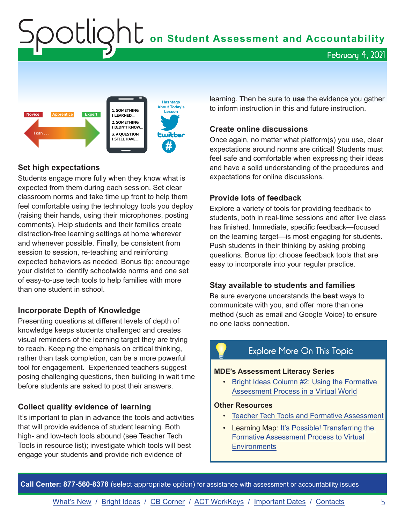<span id="page-4-0"></span> ${\sf SOL}$  O  ${\sf L}$  on Student Assessment and Accountability

February 4, 2021



# **Set high expectations**

Students engage more fully when they know what is expected from them during each session. Set clear classroom norms and take time up front to help them feel comfortable using the technology tools you deploy (raising their hands, using their microphones, posting comments). Help students and their families create distraction-free learning settings at home wherever and whenever possible. Finally, be consistent from session to session, re-teaching and reinforcing expected behaviors as needed. Bonus tip: encourage your district to identify schoolwide norms and one set of easy-to-use tech tools to help families with more than one student in school.

## **Incorporate Depth of Knowledge**

Presenting questions at different levels of depth of knowledge keeps students challenged and creates visual reminders of the learning target they are trying to reach. Keeping the emphasis on critical thinking, rather than task completion, can be a more powerful tool for engagement. Experienced teachers suggest posing challenging questions, then building in wait time before students are asked to post their answers.

## **Collect quality evidence of learning**

It's important to plan in advance the tools and activities that will provide evidence of student learning. Both high- and low-tech tools abound (see Teacher Tech Tools in resource list); investigate which tools will best engage your students **and** provide rich evidence of

learning. Then be sure to **use** the evidence you gather to inform instruction in this and future instruction.

### **Create online discussions**

Once again, no matter what platform(s) you use, clear expectations around norms are critical! Students must feel safe and comfortable when expressing their ideas and have a solid understanding of the procedures and expectations for online discussions.

#### **Provide lots of feedback**

Explore a variety of tools for providing feedback to students, both in real-time sessions and after live class has finished. Immediate, specific feedback—focused on the learning target—is most engaging for students. Push students in their thinking by asking probing questions. Bonus tip: choose feedback tools that are easy to incorporate into your regular practice.

#### **Stay available to students and families**

Be sure everyone understands the **best** ways to communicate with you, and offer more than one method (such as email and Google Voice) to ensure no one lacks connection.

# Explore More On This Topic

#### **MDE's Assessment Literacy Series**

• [Bright Ideas Column #2: Using the Formative](https://www.michigan.gov/documents/mde/Spotlight_11-19-20_708352_7.pdf)  [Assessment Process in a Virtual World](https://www.michigan.gov/documents/mde/Spotlight_11-19-20_708352_7.pdf)

#### **Other Resources**

- [Teacher Tech Tools and Formative Assessment](https://www.michiganassessmentconsortium.org/wp-content/uploads/Teacher-Tech-Tools-and-Formative-Assessment.pdf)
- Learning Map: It's Possible! Transferring the [Formative Assessment Process to Virtual](https://www.michiganassessmentconsortium.org/wp-content/uploads/Learning-Map-Formative-Assessment-Process-Virtual-Learning.pdf)  **[Environments](https://www.michiganassessmentconsortium.org/wp-content/uploads/Learning-Map-Formative-Assessment-Process-Virtual-Learning.pdf)**

**Call Center: 877-560-8378** (select appropriate option) for assistance with assessment or accountability issues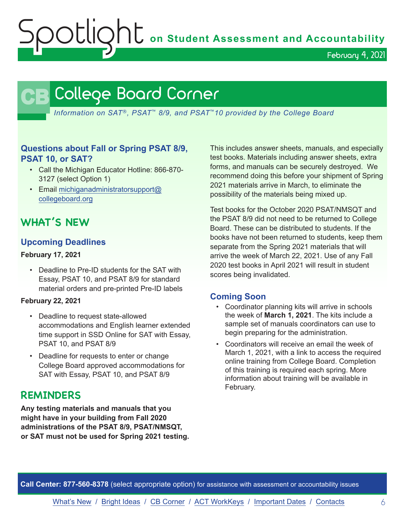$\mathsf{S}\mathsf{C}\mathsf{U}\mathsf{Q}\mathsf{h}$  on Student Assessment and Accountability

February 4, 2021

# **CB** College Board Corner

<span id="page-5-0"></span>*Information on SAT*®*, PSAT*™ *8/9, and PSAT*™*10 provided by the College Board*

# **Questions about Fall or Spring PSAT 8/9, PSAT 10, or SAT?**

- Call the Michigan Educator Hotline: 866-870- 3127 (select Option 1)
- Email [michiganadministratorsupport@](mailto:michiganadministratorsupport%40collegeboard.org?subject=) [collegeboard.org](mailto:michiganadministratorsupport%40collegeboard.org?subject=)

# **WHAT'S NEW**

# **Upcoming Deadlines**

#### **February 17, 2021**

• Deadline to Pre-ID students for the SAT with Essay, PSAT 10, and PSAT 8/9 for standard material orders and pre-printed Pre-ID labels

#### **February 22, 2021**

- Deadline to request state-allowed accommodations and English learner extended time support in SSD Online for SAT with Essay, PSAT 10, and PSAT 8/9
- Deadline for requests to enter or change College Board approved accommodations for SAT with Essay, PSAT 10, and PSAT 8/9

# **REMINDERS**

**Any testing materials and manuals that you might have in your building from Fall 2020 administrations of the PSAT 8/9, PSAT/NMSQT, or SAT must not be used for Spring 2021 testing.**

This includes answer sheets, manuals, and especially test books. Materials including answer sheets, extra forms, and manuals can be securely destroyed. We recommend doing this before your shipment of Spring 2021 materials arrive in March, to eliminate the possibility of the materials being mixed up.

Test books for the October 2020 PSAT/NMSQT and the PSAT 8/9 did not need to be returned to College Board. These can be distributed to students. If the books have not been returned to students, keep them separate from the Spring 2021 materials that will arrive the week of March 22, 2021. Use of any Fall 2020 test books in April 2021 will result in student scores being invalidated.

# **Coming Soon**

- Coordinator planning kits will arrive in schools the week of **March 1, 2021**. The kits include a sample set of manuals coordinators can use to begin preparing for the administration.
- Coordinators will receive an email the week of March 1, 2021, with a link to access the required online training from College Board. Completion of this training is required each spring. More information about training will be available in February.

**Call Center: 877-560-8378** (select appropriate option) for assistance with assessment or accountability issues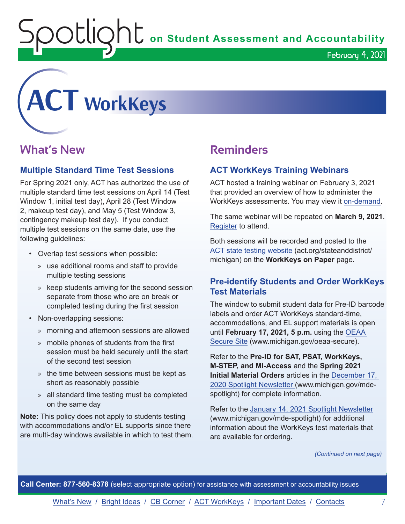OUIQhL on Student Assessment and Accountability

February 4, 2021

<span id="page-6-0"></span>

# **What's New**

# **Multiple Standard Time Test Sessions**

For Spring 2021 only, ACT has authorized the use of multiple standard time test sessions on April 14 (Test Window 1, initial test day), April 28 (Test Window 2, makeup test day), and May 5 (Test Window 3, contingency makeup test day). If you conduct multiple test sessions on the same date, use the following guidelines:

- Overlap test sessions when possible:
	- » use additional rooms and staff to provide multiple testing sessions
	- » keep students arriving for the second session separate from those who are on break or completed testing during the first session
- Non-overlapping sessions:
	- » morning and afternoon sessions are allowed
	- » mobile phones of students from the first session must be held securely until the start of the second test session
	- » the time between sessions must be kept as short as reasonably possible
	- » all standard time testing must be completed on the same day

**Note:** This policy does not apply to students testing with accommodations and/or EL supports since there are multi-day windows available in which to test them.

# **Reminders**

# **ACT WorkKeys Training Webinars**

ACT hosted a training webinar on February 3, 2021 that provided an overview of how to administer the WorkKeys assessments. You may view it [on-demand.](https://event.on24.com/wcc/r/2786210/9279DAC5A1986A90716F32200C601BD8)

The same webinar will be repeated on **March 9, 2021**. [Register](https://event.on24.com/wcc/r/2786186/CF7F33DC4E50245260EB7C422A035629) to attend.

Both sessions will be recorded and posted to the [ACT state testing website](http://act.org/stateanddistrict/michigan) (act.org/stateanddistrict/ michigan) on the **WorkKeys on Paper** page.

# **Pre-identify Students and Order WorkKeys Test Materials**

The window to submit student data for Pre-ID barcode labels and order ACT WorkKeys standard-time, accommodations, and EL support materials is open until **February 17, 2021, 5 p.m.** using the [OEAA](http://www.michigan.gov/oeaa-secure)  [Secure Site](http://www.michigan.gov/oeaa-secure) (www.michigan.gov/oeaa-secure).

Refer to the **Pre-ID for SAT, PSAT, WorkKeys, M-STEP, and MI-Access** and the **Spring 2021 Initial Material Orders** articles in the [December 17,](https://www.michigan.gov/documents/mde/Spotlight_12-17-20_710900_7.pdf)  [2020 Spotlight Newsletter](https://www.michigan.gov/documents/mde/Spotlight_12-17-20_710900_7.pdf) (www.michigan.gov/mdespotlight) for complete information.

Refer to the [January 14, 2021 Spotlight Newsletter](https://www.michigan.gov/documents/mde/Spotlight_1-14-21_713022_7.pdf) (www.michigan.gov/mde-spotlight) for additional information about the WorkKeys test materials that are available for ordering.

*(Continued on next page)*

**Call Center: 877-560-8378** (select appropriate option) for assistance with assessment or accountability issues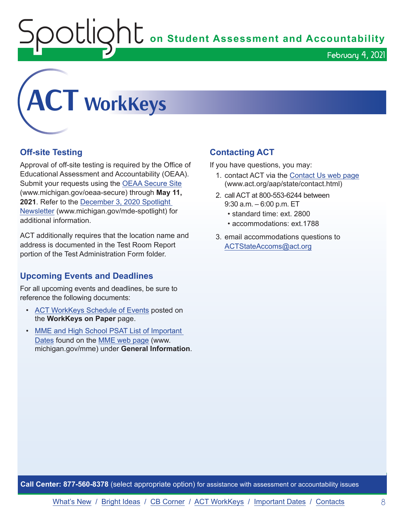**C** on Student Assessment and Accountability February 4, 2021



# **Off-site Testing**

Approval of off-site testing is required by the Office of Educational Assessment and Accountability (OEAA). Submit your requests using the [OEAA Secure Site](http://www.michigan.gov/oeaa-secure) (www.michigan.gov/oeaa-secure) through **May 11, 2021**. Refer to the [December 3, 2020 Spotlight](https://www.michigan.gov/documents/mde/Spotlight_12-3-20_709543_7.pdf)  [Newsletter](https://www.michigan.gov/documents/mde/Spotlight_12-3-20_709543_7.pdf) (www.michigan.gov/mde-spotlight) for additional information.

ACT additionally requires that the location name and address is documented in the Test Room Report portion of the Test Administration Form folder.

# **Upcoming Events and Deadlines**

For all upcoming events and deadlines, be sure to reference the following documents:

- [ACT WorkKeys Schedule of Events](https://content.act.org/michigan/r/YWy2bAxclTdZAcOxrrNErw/root) posted on the **WorkKeys on Paper** page.
- [MME and High School PSAT List of Important](https://www.michigan.gov/mde/0,4615,7-140-22709_35150-544814--,00.html)  [Dates](https://www.michigan.gov/mde/0,4615,7-140-22709_35150-544814--,00.html) found on the [MME web page](www.michigan.gov/mme) (www. michigan.gov/mme) under **General Information**.

# **Contacting ACT**

If you have questions, you may:

- 1. contact ACT via the [Contact Us web page](http://www.act.org/aap/state/contact.html) [\(www.act.org/aap/state/contact.html\)](https://www.act.org/aap/state/contact.html)
- 2. call ACT at 800-553-6244 between 9:30 a.m. – 6:00 p.m. ET
	- standard time: ext. 2800
	- accommodations: ext.1788
- 3. email accommodations questions to [ACTStateAccoms@act.org](mailto:ACTStateAccoms%40act.org?subject=)

**Call Center: 877-560-8378** (select appropriate option) for assistance with assessment or accountability issues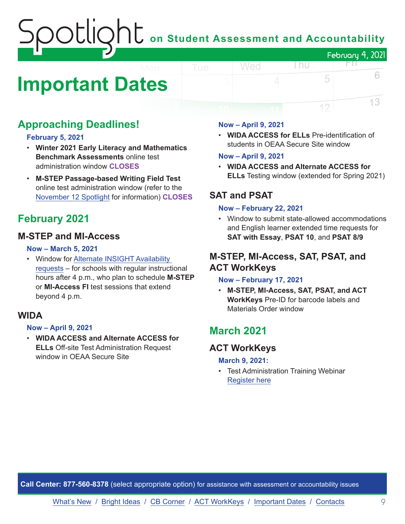# on Student Assessment and Accountability February 4, 2021

# <span id="page-8-0"></span>**Important Dates**

# **Approaching Deadlines!**

#### **February 5, 2021**

- **Winter 2021 Early Literacy and Mathematics Benchmark Assessments** online test administration window **CLOSES**
- **M-STEP Passage-based Writing Field Test** online test administration window (refer to the [November 12 Spotlight](https://www.michigan.gov/documents/mde/Spotlight_11-12-20_707634_7.pdf) for information) **CLOSES**

# **February 2021**

# **M-STEP and MI-Access**

#### **Now – March 5, 2021**

• Window for [Alternate INSIGHT Availability](https://www.surveymonkey.com/r/INSIGHTAvailabilityRequest)  [requests](https://www.surveymonkey.com/r/INSIGHTAvailabilityRequest) – for schools with regular instructional hours after 4 p.m., who plan to schedule **M-STEP** or **MI-Access FI** test sessions that extend beyond 4 p.m.

# **WIDA**

## **Now – April 9, 2021**

• **WIDA ACCESS and Alternate ACCESS for ELLs** Off-site Test Administration Request window in OEAA Secure Site

### **Now – April 9, 2021**

Wed

• **WIDA ACCESS for ELLs** Pre-identification of students in OEAA Secure Site window

l nu

FП.

5

12

6

13

#### **Now – April 9, 2021**

• **WIDA ACCESS and Alternate ACCESS for ELLs** Testing window (extended for Spring 2021)

# **SAT and PSAT**

## **Now – February 22, 2021**

• Window to submit state-allowed accommodations and English learner extended time requests for **SAT with Essay**, **PSAT 10**, and **PSAT 8/9**

# **M-STEP, MI-Access, SAT, PSAT, and ACT WorkKeys**

## **Now – February 17, 2021**

• **M-STEP, MI-Access, SAT, PSAT, and ACT WorkKeys** Pre-ID for barcode labels and Materials Order window

# **March 2021**

# **ACT WorkKeys**

#### **March 9, 2021:**

• Test Administration Training Webinar [Register here](https://event.on24.com/wcc/r/2786186/CF7F33DC4E50245260EB7C422A035629)

**Call Center: 877-560-8378** (select appropriate option) for assistance with assessment or accountability issues